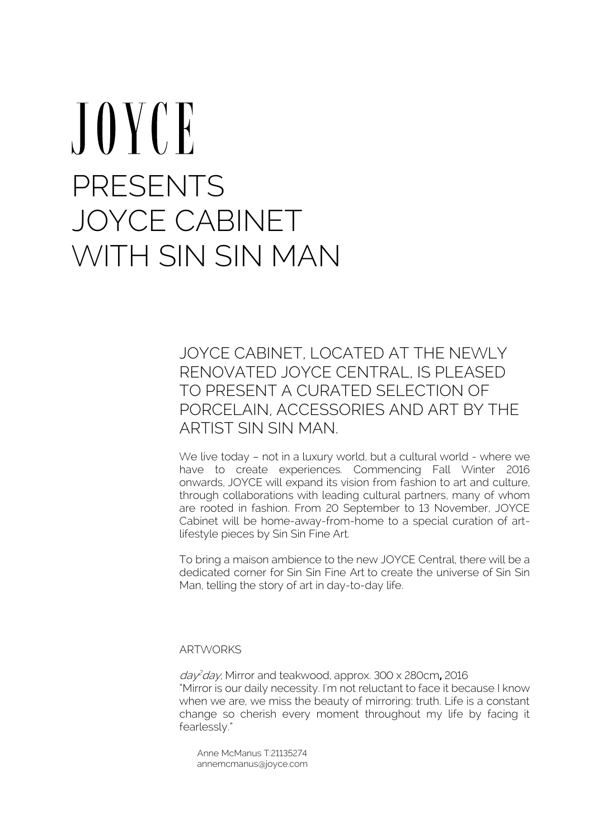# $J$  O Y C E PRESENTS JOYCE CABINET WITH SIN SIN MAN

JOYCE CABINET, LOCATED AT THE NEWLY RENOVATED JOYCE CENTRAL, IS PLEASED TO PRESENT A CURATED SELECTION OF PORCELAIN, ACCESSORIES AND ART BY THE ARTIST SIN SIN MAN.

We live today – not in a luxury world, but a cultural world - where we have to create experiences. Commencing Fall Winter 2016 onwards, JOYCE will expand its vision from fashion to art and culture, through collaborations with leading cultural partners, many of whom are rooted in fashion. From 20 September to 13 November, JOYCE Cabinet will be home-away-from-home to a special curation of artlifestyle pieces by Sin Sin Fine Art.

To bring a maison ambience to the new JOYCE Central, there will be a dedicated corner for Sin Sin Fine Art to create the universe of Sin Sin Man, telling the story of art in day-to-day life.

ARTWORKS

day <sup>2</sup>day, Mirror and teakwood, approx. 300 x 280cm**,** 2016 "Mirror is our daily necessity. I'm not reluctant to face it because I know when we are, we miss the beauty of mirroring: truth. Life is a constant change so cherish every moment throughout my life by facing it fearlessly."

Anne McManus T:21135274 annemcmanus@joyce.com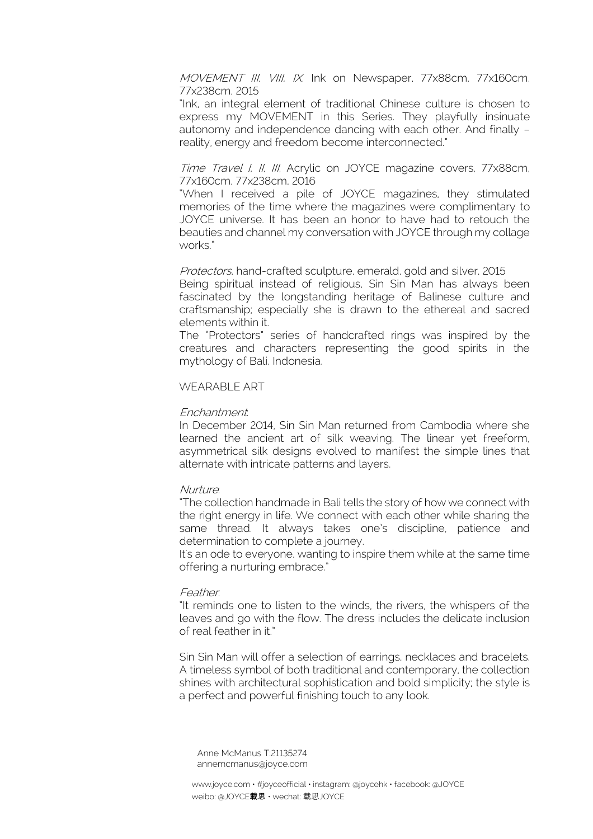MOVEMENT III, VIII, IX, Ink on Newspaper, 77x88cm, 77x160cm, 77x238cm, 2015

"Ink, an integral element of traditional Chinese culture is chosen to express my MOVEMENT in this Series. They playfully insinuate autonomy and independence dancing with each other. And finally – reality, energy and freedom become interconnected."

## Time Travel I, II, III, Acrylic on JOYCE magazine covers, 77x88cm, 77x160cm, 77x238cm, 2016

"When I received a pile of JOYCE magazines, they stimulated memories of the time where the magazines were complimentary to JOYCE universe. It has been an honor to have had to retouch the beauties and channel my conversation with JOYCE through my collage works."

Protectors, hand-crafted sculpture, emerald, gold and silver, 2015

Being spiritual instead of religious, Sin Sin Man has always been fascinated by the longstanding heritage of Balinese culture and craftsmanship; especially she is drawn to the ethereal and sacred elements within it.

The "Protectors" series of handcrafted rings was inspired by the creatures and characters representing the good spirits in the mythology of Bali, Indonesia.

# WEARABLE ART

## Enchantment:

In December 2014, Sin Sin Man returned from Cambodia where she learned the ancient art of silk weaving. The linear yet freeform, asymmetrical silk designs evolved to manifest the simple lines that alternate with intricate patterns and layers.

## **Nurture**

"The collection handmade in Bali tells the story of how we connect with the right energy in life. We connect with each other while sharing the same thread. It always takes one's discipline, patience and determination to complete a journey.

It's an ode to everyone, wanting to inspire them while at the same time offering a nurturing embrace."

#### Feather:

"It reminds one to listen to the winds, the rivers, the whispers of the leaves and go with the flow. The dress includes the delicate inclusion of real feather in it."

Sin Sin Man will offer a selection of earrings, necklaces and bracelets. A timeless symbol of both traditional and contemporary, the collection shines with architectural sophistication and bold simplicity; the style is a perfect and powerful finishing touch to any look.

Anne McManus T:21135274 annemcmanus@joyce.com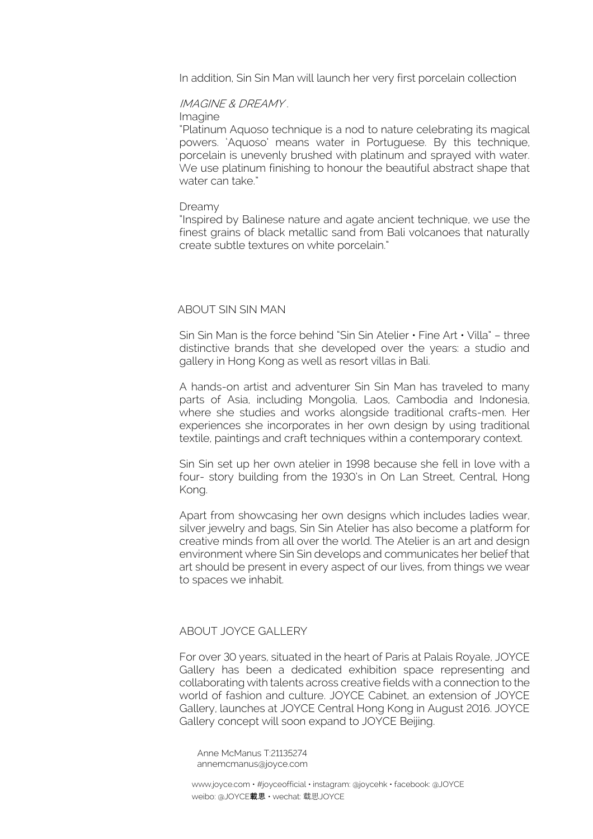In addition, Sin Sin Man will launch her very first porcelain collection

# IMAGINE & DREAMY .

Imagine

"Platinum Aquoso technique is a nod to nature celebrating its magical powers. 'Aquoso' means water in Portuguese. By this technique, porcelain is unevenly brushed with platinum and sprayed with water. We use platinum finishing to honour the beautiful abstract shape that water can take."

#### Dreamy

"Inspired by Balinese nature and agate ancient technique, we use the finest grains of black metallic sand from Bali volcanoes that naturally create subtle textures on white porcelain."

#### ABOUT SIN SIN MAN

Sin Sin Man is the force behind "Sin Sin Atelier  $\cdot$  Fine Art  $\cdot$  Villa" – three distinctive brands that she developed over the years: a studio and gallery in Hong Kong as well as resort villas in Bali.

A hands-on artist and adventurer Sin Sin Man has traveled to many parts of Asia, including Mongolia, Laos, Cambodia and Indonesia, where she studies and works alongside traditional crafts-men. Her experiences she incorporates in her own design by using traditional textile, paintings and craft techniques within a contemporary context.

Sin Sin set up her own atelier in 1998 because she fell in love with a four- story building from the 1930's in On Lan Street, Central, Hong Kong.

Apart from showcasing her own designs which includes ladies wear, silver jewelry and bags, Sin Sin Atelier has also become a platform for creative minds from all over the world. The Atelier is an art and design environment where Sin Sin develops and communicates her belief that art should be present in every aspect of our lives, from things we wear to spaces we inhabit.

# ABOUT JOYCE GALLERY

For over 30 years, situated in the heart of Paris at Palais Royale, JOYCE Gallery has been a dedicated exhibition space representing and collaborating with talents across creative fields with a connection to the world of fashion and culture. JOYCE Cabinet, an extension of JOYCE Gallery, launches at JOYCE Central Hong Kong in August 2016. JOYCE Gallery concept will soon expand to JOYCE Beijing.

Anne McManus T:21135274 annemcmanus@joyce.com